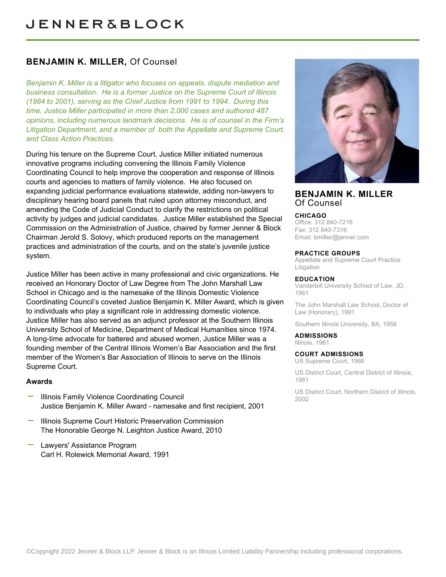## **BENJAMIN K. MILLER,** Of Counsel

*Benjamin K. Miller is a litigator who focuses on appeals, dispute mediation and business consultation. He is a former Justice on the Supreme Court of Illinois (1984 to 2001), serving as the Chief Justice from 1991 to 1994. During this time, Justice Miller participated in more than 2,000 cases and authored 487 opinions, including numerous landmark decisions. He is of counsel in the Firm's Litigation Department, and a member of both the Appellate and Supreme Court, and Class Action Practices.*

During his tenure on the Supreme Court, Justice Miller initiated numerous innovative programs including convening the Illinois Family Violence Coordinating Council to help improve the cooperation and response of Illinois courts and agencies to matters of family violence. He also focused on expanding judicial performance evaluations statewide, adding non-lawyers to disciplinary hearing board panels that ruled upon attorney misconduct, and amending the Code of Judicial Conduct to clarify the restrictions on political activity by judges and judicial candidates. Justice Miller established the Special Commission on the Administration of Justice, chaired by former Jenner & Block Chairman Jerold S. Solovy, which produced reports on the management practices and administration of the courts, and on the state's juvenile justice system.

Justice Miller has been active in many professional and civic organizations. He received an Honorary Doctor of Law Degree from The John Marshall Law School in Chicago and is the namesake of the Illinois Domestic Violence Coordinating Council's coveted Justice Benjamin K. Miller Award, which is given to individuals who play a significant role in addressing domestic violence. Justice Miller has also served as an adjunct professor at the Southern Illinois University School of Medicine, Department of Medical Humanities since 1974. A long-time advocate for battered and abused women, Justice Miller was a founding member of the Central Illinois Women's Bar Association and the first member of the Women's Bar Association of Illinois to serve on the Illinois Supreme Court.

### **Awards**

- Illinois Family Violence Coordinating Council Justice Benjamin K. Miller Award - namesake and first recipient, 2001
- Illinois Supreme Court Historic Preservation Commission The Honorable George N. Leighton Justice Award, 2010
- Lawyers' Assistance Program Carl H. Rolewick Memorial Award, 1991



## **BENJAMIN K. MILLER** Of Counsel

#### **CHICAGO**

Office: 312 840-7216 Fax: 312 840-7316 Email: [bmiller@jenner.com](mailto:bmiller@jenner.com)

#### **PRACTICE GROUPS**

Appellate and Supreme Court Practice Litigation

#### **EDUCATION**

Vanderbilt University School of Law, JD, 1961

The John Marshall Law School, Doctor of Law (Honorary), 1991

Southern Illinois University, BA, 1958

**ADMISSIONS** Illinois, 1961

#### **COURT ADMISSIONS**

US Supreme Court, 1966

US District Court, Central District of Illinois, 1961

US District Court, Northern District of Illinois, 2002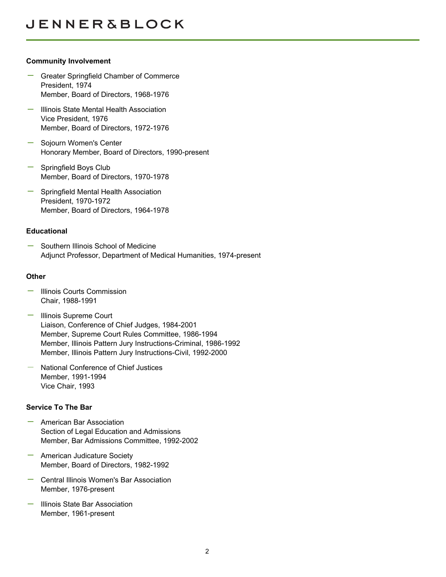## **Community Involvement**

- Greater Springfield Chamber of Commerce President, 1974 Member, Board of Directors, 1968-1976
- Illinois State Mental Health Association Vice President, 1976 Member, Board of Directors, 1972-1976
- Sojourn Women's Center Honorary Member, Board of Directors, 1990-present
- Springfield Boys Club Member, Board of Directors, 1970-1978
- Springfield Mental Health Association President, 1970-1972 Member, Board of Directors, 1964-1978

## **Educational**

Southern Illinois School of Medicine Adjunct Professor, Department of Medical Humanities, 1974-present

## **Other**

- $-$  Illinois Courts Commission Chair, 1988-1991
- Illinois Supreme Court Liaison, Conference of Chief Judges, 1984-2001 Member, Supreme Court Rules Committee, 1986-1994 Member, Illinois Pattern Jury Instructions-Criminal, 1986-1992 Member, Illinois Pattern Jury Instructions-Civil, 1992-2000
- National Conference of Chief Justices Member, 1991-1994 Vice Chair, 1993

## **Service To The Bar**

- American Bar Association Section of Legal Education and Admissions Member, Bar Admissions Committee, 1992-2002
- American Judicature Society Member, Board of Directors, 1982-1992
- Central Illinois Women's Bar Association Member, 1976-present
- Illinois State Bar Association Member, 1961-present